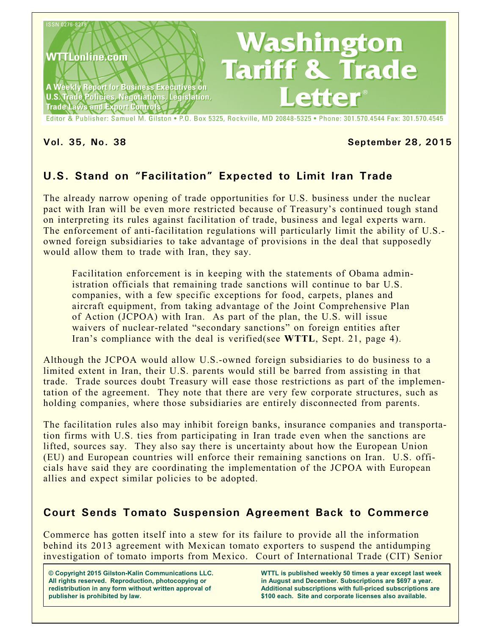

#### **Vol. 35, No. 38 September 28, 2015**

# **U.S. Stand on "Facilitation" Expected to Limit Iran Trade**

The already narrow opening of trade opportunities for U.S. business under the nuclear pact with Iran will be even more restricted because of Treasury's continued tough stand on interpreting its rules against facilitation of trade, business and legal experts warn. The enforcement of anti-facilitation regulations will particularly limit the ability of U.S. owned foreign subsidiaries to take advantage of provisions in the deal that supposedly would allow them to trade with Iran, they say.

Facilitation enforcement is in keeping with the statements of Obama administration officials that remaining trade sanctions will continue to bar U.S. companies, with a few specific exceptions for food, carpets, planes and aircraft equipment, from taking advantage of the Joint Comprehensive Plan of Action (JCPOA) with Iran. As part of the plan, the U.S. will issue waivers of nuclear-related "secondary sanctions" on foreign entities after Iran's compliance with the deal is verified(see **WTTL**, Sept. 21, page 4).

Although the JCPOA would allow U.S.-owned foreign subsidiaries to do business to a limited extent in Iran, their U.S. parents would still be barred from assisting in that trade. Trade sources doubt Treasury will ease those restrictions as part of the implementation of the agreement. They note that there are very few corporate structures, such as holding companies, where those subsidiaries are entirely disconnected from parents.

The facilitation rules also may inhibit foreign banks, insurance companies and transportation firms with U.S. ties from participating in Iran trade even when the sanctions are lifted, sources say. They also say there is uncertainty about how the European Union (EU) and European countries will enforce their remaining sanctions on Iran. U.S. officials have said they are coordinating the implementation of the JCPOA with European allies and expect similar policies to be adopted.

### **Court Sends Tomato Suspension Agreement Back to Commerce**

Commerce has gotten itself into a stew for its failure to provide all the information behind its 2013 agreement with Mexican tomato exporters to suspend the antidumping investigation of tomato imports from Mexico. Court of International Trade (CIT) Senior

**© Copyright 2015 Gilston-Kalin Communications LLC. All rights reserved. Reproduction, photocopying or redistribution in any form without written approval of publisher is prohibited by law.** 

**WTTL is published weekly 50 times a year except last week in August and December. Subscriptions are \$697 a year. Additional subscriptions with full-priced subscriptions are \$100 each. Site and corporate licenses also available.**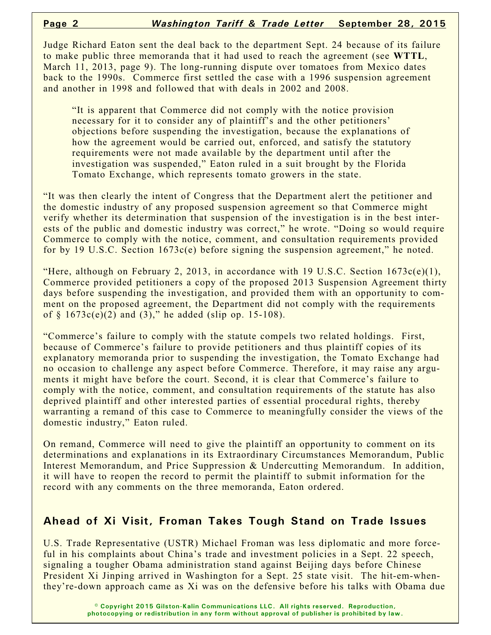Judge Richard Eaton sent the deal back to the department Sept. 24 because of its failure to make public three memoranda that it had used to reach the agreement (see **WTTL**, March 11, 2013, page 9). The long-running dispute over tomatoes from Mexico dates back to the 1990s. Commerce first settled the case with a 1996 suspension agreement and another in 1998 and followed that with deals in 2002 and 2008.

"It is apparent that Commerce did not comply with the notice provision necessary for it to consider any of plaintiff's and the other petitioners' objections before suspending the investigation, because the explanations of how the agreement would be carried out, enforced, and satisfy the statutory requirements were not made available by the department until after the investigation was suspended," Eaton ruled in a suit brought by the Florida Tomato Exchange, which represents tomato growers in the state.

"It was then clearly the intent of Congress that the Department alert the petitioner and the domestic industry of any proposed suspension agreement so that Commerce might verify whether its determination that suspension of the investigation is in the best interests of the public and domestic industry was correct," he wrote. "Doing so would require Commerce to comply with the notice, comment, and consultation requirements provided for by 19 U.S.C. Section 1673c(e) before signing the suspension agreement," he noted.

"Here, although on February 2, 2013, in accordance with 19 U.S.C. Section  $1673c(e)(1)$ , Commerce provided petitioners a copy of the proposed 2013 Suspension Agreement thirty days before suspending the investigation, and provided them with an opportunity to comment on the proposed agreement, the Department did not comply with the requirements of  $§$  1673c(e)(2) and (3)," he added (slip op. 15-108).

"Commerce's failure to comply with the statute compels two related holdings. First, because of Commerce's failure to provide petitioners and thus plaintiff copies of its explanatory memoranda prior to suspending the investigation, the Tomato Exchange had no occasion to challenge any aspect before Commerce. Therefore, it may raise any arguments it might have before the court. Second, it is clear that Commerce's failure to comply with the notice, comment, and consultation requirements of the statute has also deprived plaintiff and other interested parties of essential procedural rights, thereby warranting a remand of this case to Commerce to meaningfully consider the views of the domestic industry," Eaton ruled.

On remand, Commerce will need to give the plaintiff an opportunity to comment on its determinations and explanations in its Extraordinary Circumstances Memorandum, Public Interest Memorandum, and Price Suppression & Undercutting Memorandum. In addition, it will have to reopen the record to permit the plaintiff to submit information for the record with any comments on the three memoranda, Eaton ordered.

#### **Ahead of Xi Visit, Froman Takes Tough Stand on Trade Issues**

U.S. Trade Representative (USTR) Michael Froman was less diplomatic and more forceful in his complaints about China's trade and investment policies in a Sept. 22 speech, signaling a tougher Obama administration stand against Beijing days before Chinese President Xi Jinping arrived in Washington for a Sept. 25 state visit. The hit-em-whenthey're-down approach came as Xi was on the defensive before his talks with Obama due

> **© Copyright 2015 Gilston-Kalin Communications LLC. All rights reserved. Reproduction, photocopying or redistribution in any form without approval of publisher is prohibited by law.**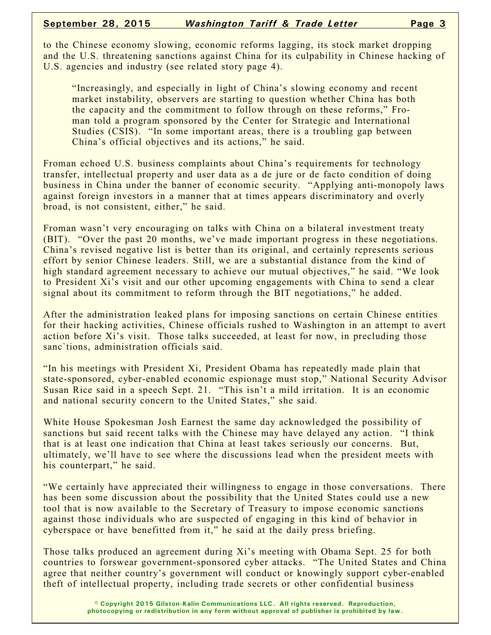to the Chinese economy slowing, economic reforms lagging, its stock market dropping and the U.S. threatening sanctions against China for its culpability in Chinese hacking of U.S. agencies and industry (see related story page 4).

"Increasingly, and especially in light of China's slowing economy and recent market instability, observers are starting to question whether China has both the capacity and the commitment to follow through on these reforms," Froman told a program sponsored by the Center for Strategic and International Studies (CSIS). "In some important areas, there is a troubling gap between China's official objectives and its actions," he said.

Froman echoed U.S. business complaints about China's requirements for technology transfer, intellectual property and user data as a de jure or de facto condition of doing business in China under the banner of economic security. "Applying anti-monopoly laws against foreign investors in a manner that at times appears discriminatory and overly broad, is not consistent, either," he said.

Froman wasn't very encouraging on talks with China on a bilateral investment treaty (BIT). "Over the past 20 months, we've made important progress in these negotiations. China's revised negative list is better than its original, and certainly represents serious effort by senior Chinese leaders. Still, we are a substantial distance from the kind of high standard agreement necessary to achieve our mutual objectives," he said. "We look to President Xi's visit and our other upcoming engagements with China to send a clear signal about its commitment to reform through the BIT negotiations," he added.

After the administration leaked plans for imposing sanctions on certain Chinese entities for their hacking activities, Chinese officials rushed to Washington in an attempt to avert action before Xi's visit. Those talks succeeded, at least for now, in precluding those sanc'tions, administration officials said.

"In his meetings with President Xi, President Obama has repeatedly made plain that state-sponsored, cyber-enabled economic espionage must stop," National Security Advisor Susan Rice said in a speech Sept. 21. "This isn't a mild irritation. It is an economic and national security concern to the United States," she said.

White House Spokesman Josh Earnest the same day acknowledged the possibility of sanctions but said recent talks with the Chinese may have delayed any action. "I think that is at least one indication that China at least takes seriously our concerns. But, ultimately, we'll have to see where the discussions lead when the president meets with his counterpart," he said.

"We certainly have appreciated their willingness to engage in those conversations. There has been some discussion about the possibility that the United States could use a new tool that is now available to the Secretary of Treasury to impose economic sanctions against those individuals who are suspected of engaging in this kind of behavior in cyberspace or have benefitted from it," he said at the daily press briefing.

Those talks produced an agreement during Xi's meeting with Obama Sept. 25 for both countries to forswear government-sponsored cyber attacks. "The United States and China agree that neither country's government will conduct or knowingly support cyber-enabled theft of intellectual property, including trade secrets or other confidential business

> **© Copyright 2015 Gilston-Kalin Communications LLC. All rights reserved. Reproduction, photocopying or redistribution in any form without approval of publisher is prohibited by law.**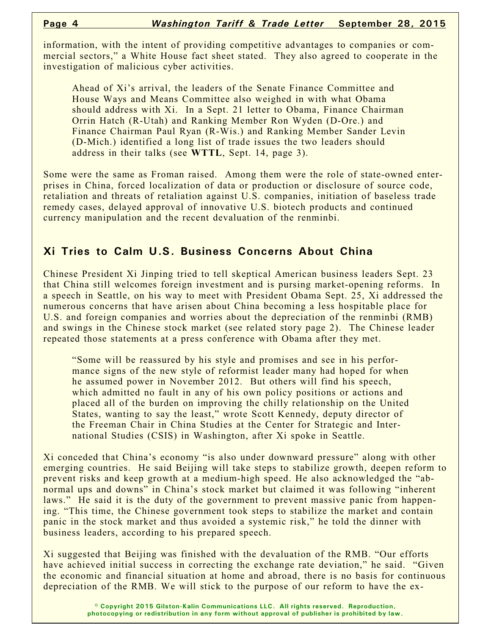information, with the intent of providing competitive advantages to companies or commercial sectors," a White House fact sheet stated. They also agreed to cooperate in the investigation of malicious cyber activities.

Ahead of Xi's arrival, the leaders of the Senate Finance Committee and House Ways and Means Committee also weighed in with what Obama should address with Xi. In a Sept. 21 letter to Obama, Finance Chairman Orrin Hatch (R-Utah) and Ranking Member Ron Wyden (D-Ore.) and Finance Chairman Paul Ryan (R-Wis.) and Ranking Member Sander Levin (D-Mich.) identified a long list of trade issues the two leaders should address in their talks (see **WTTL**, Sept. 14, page 3).

Some were the same as Froman raised. Among them were the role of state-owned enterprises in China, forced localization of data or production or disclosure of source code, retaliation and threats of retaliation against U.S. companies, initiation of baseless trade remedy cases, delayed approval of innovative U.S. biotech products and continued currency manipulation and the recent devaluation of the renminbi.

### **Xi Tries to Calm U.S. Business Concerns About China**

Chinese President Xi Jinping tried to tell skeptical American business leaders Sept. 23 that China still welcomes foreign investment and is pursing market-opening reforms. In a speech in Seattle, on his way to meet with President Obama Sept. 25, Xi addressed the numerous concerns that have arisen about China becoming a less hospitable place for U.S. and foreign companies and worries about the depreciation of the renminbi (RMB) and swings in the Chinese stock market (see related story page 2). The Chinese leader repeated those statements at a press conference with Obama after they met.

"Some will be reassured by his style and promises and see in his performance signs of the new style of reformist leader many had hoped for when he assumed power in November 2012. But others will find his speech, which admitted no fault in any of his own policy positions or actions and placed all of the burden on improving the chilly relationship on the United States, wanting to say the least," wrote Scott Kennedy, deputy director of the Freeman Chair in China Studies at the Center for Strategic and International Studies (CSIS) in Washington, after Xi spoke in Seattle.

Xi conceded that China's economy "is also under downward pressure" along with other emerging countries. He said Beijing will take steps to stabilize growth, deepen reform to prevent risks and keep growth at a medium-high speed. He also acknowledged the "abnormal ups and downs" in China's stock market but claimed it was following "inherent laws." He said it is the duty of the government to prevent massive panic from happening. "This time, the Chinese government took steps to stabilize the market and contain panic in the stock market and thus avoided a systemic risk," he told the dinner with business leaders, according to his prepared speech.

Xi suggested that Beijing was finished with the devaluation of the RMB. "Our efforts have achieved initial success in correcting the exchange rate deviation," he said. "Given the economic and financial situation at home and abroad, there is no basis for continuous depreciation of the RMB. We will stick to the purpose of our reform to have the ex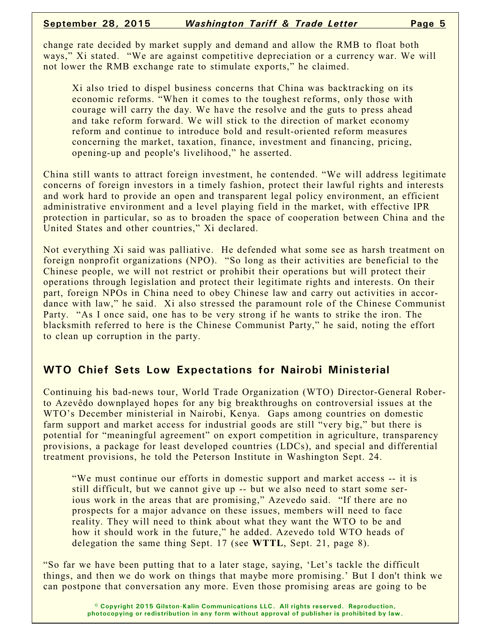change rate decided by market supply and demand and allow the RMB to float both ways," Xi stated. "We are against competitive depreciation or a currency war. We will not lower the RMB exchange rate to stimulate exports," he claimed.

Xi also tried to dispel business concerns that China was backtracking on its economic reforms. "When it comes to the toughest reforms, only those with courage will carry the day. We have the resolve and the guts to press ahead and take reform forward. We will stick to the direction of market economy reform and continue to introduce bold and result-oriented reform measures concerning the market, taxation, finance, investment and financing, pricing, opening-up and people's livelihood," he asserted.

China still wants to attract foreign investment, he contended. "We will address legitimate concerns of foreign investors in a timely fashion, protect their lawful rights and interests and work hard to provide an open and transparent legal policy environment, an efficient administrative environment and a level playing field in the market, with effective IPR protection in particular, so as to broaden the space of cooperation between China and the United States and other countries," Xi declared.

Not everything Xi said was palliative. He defended what some see as harsh treatment on foreign nonprofit organizations (NPO). "So long as their activities are beneficial to the Chinese people, we will not restrict or prohibit their operations but will protect their operations through legislation and protect their legitimate rights and interests. On their part, foreign NPOs in China need to obey Chinese law and carry out activities in accordance with law," he said. Xi also stressed the paramount role of the Chinese Communist Party. "As I once said, one has to be very strong if he wants to strike the iron. The blacksmith referred to here is the Chinese Communist Party," he said, noting the effort to clean up corruption in the party.

#### **WTO Chief Sets Low Expectations for Nairobi Ministerial**

Continuing his bad-news tour, World Trade Organization (WTO) Director-General Roberto Azevêdo downplayed hopes for any big breakthroughs on controversial issues at the WTO's December ministerial in Nairobi, Kenya. Gaps among countries on domestic farm support and market access for industrial goods are still "very big," but there is potential for "meaningful agreement" on export competition in agriculture, transparency provisions, a package for least developed countries (LDCs), and special and differential treatment provisions, he told the Peterson Institute in Washington Sept. 24.

"We must continue our efforts in domestic support and market access -- it is still difficult, but we cannot give up -- but we also need to start some serious work in the areas that are promising," Azevedo said. "If there are no prospects for a major advance on these issues, members will need to face reality. They will need to think about what they want the WTO to be and how it should work in the future," he added. Azevedo told WTO heads of delegation the same thing Sept. 17 (see **WTTL**, Sept. 21, page 8).

"So far we have been putting that to a later stage, saying, 'Let's tackle the difficult things, and then we do work on things that maybe more promising.' But I don't think we can postpone that conversation any more. Even those promising areas are going to be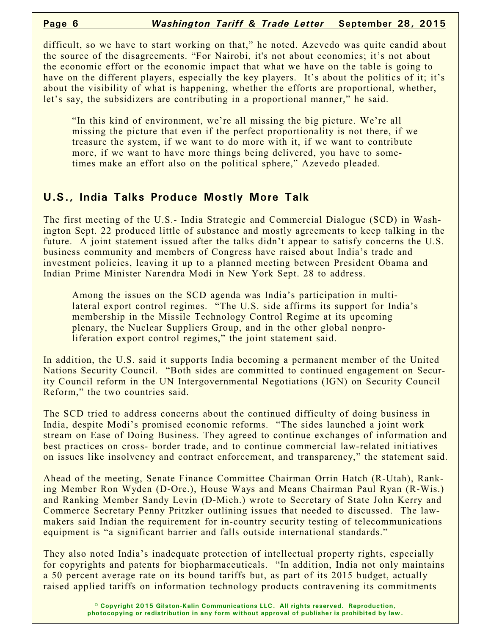difficult, so we have to start working on that," he noted. Azevedo was quite candid about the source of the disagreements. "For Nairobi, it's not about economics; it's not about the economic effort or the economic impact that what we have on the table is going to have on the different players, especially the key players. It's about the politics of it; it's about the visibility of what is happening, whether the efforts are proportional, whether, let's say, the subsidizers are contributing in a proportional manner," he said.

"In this kind of environment, we're all missing the big picture. We're all missing the picture that even if the perfect proportionality is not there, if we treasure the system, if we want to do more with it, if we want to contribute more, if we want to have more things being delivered, you have to sometimes make an effort also on the political sphere," Azevedo pleaded.

## **U.S., India Talks Produce Mostly More Talk**

The first meeting of the U.S.- India Strategic and Commercial Dialogue (SCD) in Washington Sept. 22 produced little of substance and mostly agreements to keep talking in the future. A joint statement issued after the talks didn't appear to satisfy concerns the U.S. business community and members of Congress have raised about India's trade and investment policies, leaving it up to a planned meeting between President Obama and Indian Prime Minister Narendra Modi in New York Sept. 28 to address.

Among the issues on the SCD agenda was India's participation in multilateral export control regimes. "The U.S. side affirms its support for India's membership in the Missile Technology Control Regime at its upcoming plenary, the Nuclear Suppliers Group, and in the other global nonproliferation export control regimes," the joint statement said.

In addition, the U.S. said it supports India becoming a permanent member of the United Nations Security Council. "Both sides are committed to continued engagement on Security Council reform in the UN Intergovernmental Negotiations (IGN) on Security Council Reform," the two countries said.

The SCD tried to address concerns about the continued difficulty of doing business in India, despite Modi's promised economic reforms. "The sides launched a joint work stream on Ease of Doing Business. They agreed to continue exchanges of information and best practices on cross- border trade, and to continue commercial law-related initiatives on issues like insolvency and contract enforcement, and transparency," the statement said.

Ahead of the meeting, Senate Finance Committee Chairman Orrin Hatch (R-Utah), Ranking Member Ron Wyden (D-Ore.), House Ways and Means Chairman Paul Ryan (R-Wis.) and Ranking Member Sandy Levin (D-Mich.) wrote to Secretary of State John Kerry and Commerce Secretary Penny Pritzker outlining issues that needed to discussed. The lawmakers said Indian the requirement for in-country security testing of telecommunications equipment is "a significant barrier and falls outside international standards."

They also noted India's inadequate protection of intellectual property rights, especially for copyrights and patents for biopharmaceuticals. "In addition, India not only maintains a 50 percent average rate on its bound tariffs but, as part of its 2015 budget, actually raised applied tariffs on information technology products contravening its commitments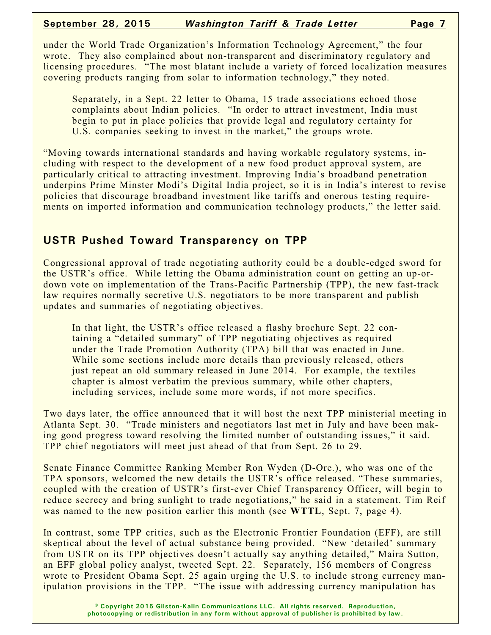under the World Trade Organization's Information Technology Agreement," the four wrote. They also complained about non-transparent and discriminatory regulatory and licensing procedures. "The most blatant include a variety of forced localization measures covering products ranging from solar to information technology," they noted.

Separately, in a Sept. 22 letter to Obama, 15 trade associations echoed those complaints about Indian policies. "In order to attract investment, India must begin to put in place policies that provide legal and regulatory certainty for U.S. companies seeking to invest in the market," the groups wrote.

"Moving towards international standards and having workable regulatory systems, including with respect to the development of a new food product approval system, are particularly critical to attracting investment. Improving India's broadband penetration underpins Prime Minster Modi's Digital India project, so it is in India's interest to revise policies that discourage broadband investment like tariffs and onerous testing requirements on imported information and communication technology products," the letter said.

### **USTR Pushed Toward Transparency on TPP**

Congressional approval of trade negotiating authority could be a double-edged sword for the USTR's office. While letting the Obama administration count on getting an up-ordown vote on implementation of the Trans-Pacific Partnership (TPP), the new fast-track law requires normally secretive U.S. negotiators to be more transparent and publish updates and summaries of negotiating objectives.

In that light, the USTR's office released a flashy brochure Sept. 22 containing a "detailed summary" of TPP negotiating objectives as required under the Trade Promotion Authority (TPA) bill that was enacted in June. While some sections include more details than previously released, others just repeat an old summary released in June 2014. For example, the textiles chapter is almost verbatim the previous summary, while other chapters, including services, include some more words, if not more specifics.

Two days later, the office announced that it will host the next TPP ministerial meeting in Atlanta Sept. 30. "Trade ministers and negotiators last met in July and have been making good progress toward resolving the limited number of outstanding issues," it said. TPP chief negotiators will meet just ahead of that from Sept. 26 to 29.

Senate Finance Committee Ranking Member Ron Wyden (D-Ore.), who was one of the TPA sponsors, welcomed the new details the USTR's office released. "These summaries, coupled with the creation of USTR's first-ever Chief Transparency Officer, will begin to reduce secrecy and bring sunlight to trade negotiations," he said in a statement. Tim Reif was named to the new position earlier this month (see **WTTL**, Sept. 7, page 4).

In contrast, some TPP critics, such as the Electronic Frontier Foundation (EFF), are still skeptical about the level of actual substance being provided. "New 'detailed' summary from USTR on its TPP objectives doesn't actually say anything detailed," Maira Sutton, an EFF global policy analyst, tweeted Sept. 22. Separately, 156 members of Congress wrote to President Obama Sept. 25 again urging the U.S. to include strong currency manipulation provisions in the TPP. "The issue with addressing currency manipulation has